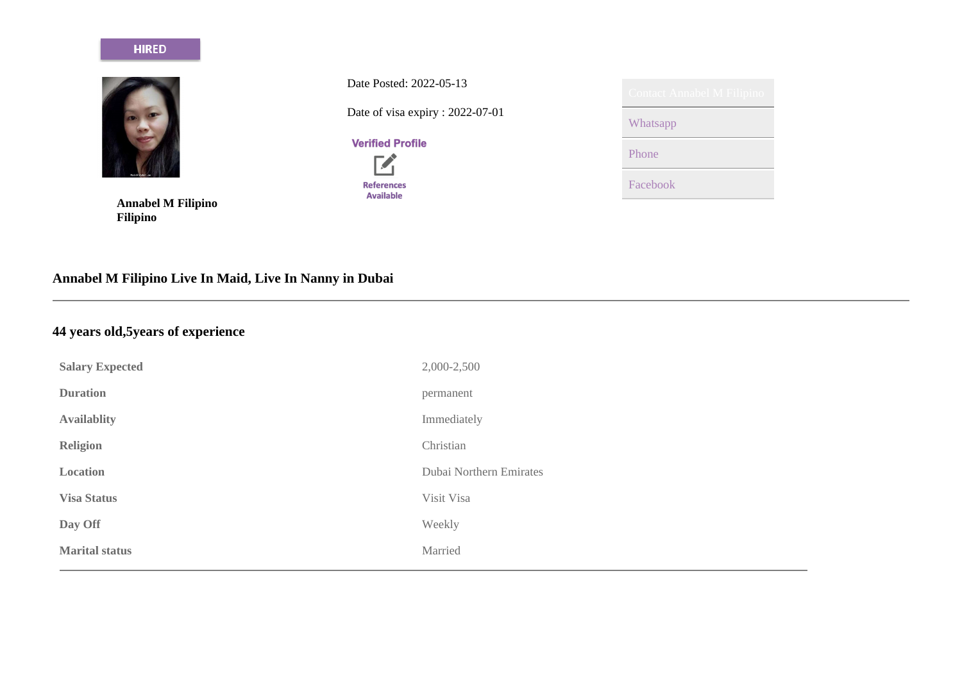#### **HIRED**



**Annabel M Filipino Filipino**

Date Posted: 2022-05-13 Date of visa expiry : 2022-07-01

**Verified Profile** 



| <b>Contact Annabel M Filipino</b> |
|-----------------------------------|
| Whatsapp                          |
| Phone                             |
| Facebook                          |

# **Annabel M Filipino Live In Maid, Live In Nanny in Dubai**

# **44 years old,5years of experience**

| <b>Salary Expected</b> | 2,000-2,500             |
|------------------------|-------------------------|
| <b>Duration</b>        | permanent               |
| <b>Availablity</b>     | Immediately             |
| Religion               | Christian               |
| Location               | Dubai Northern Emirates |
| <b>Visa Status</b>     | Visit Visa              |
| Day Off                | Weekly                  |
| <b>Marital status</b>  | Married                 |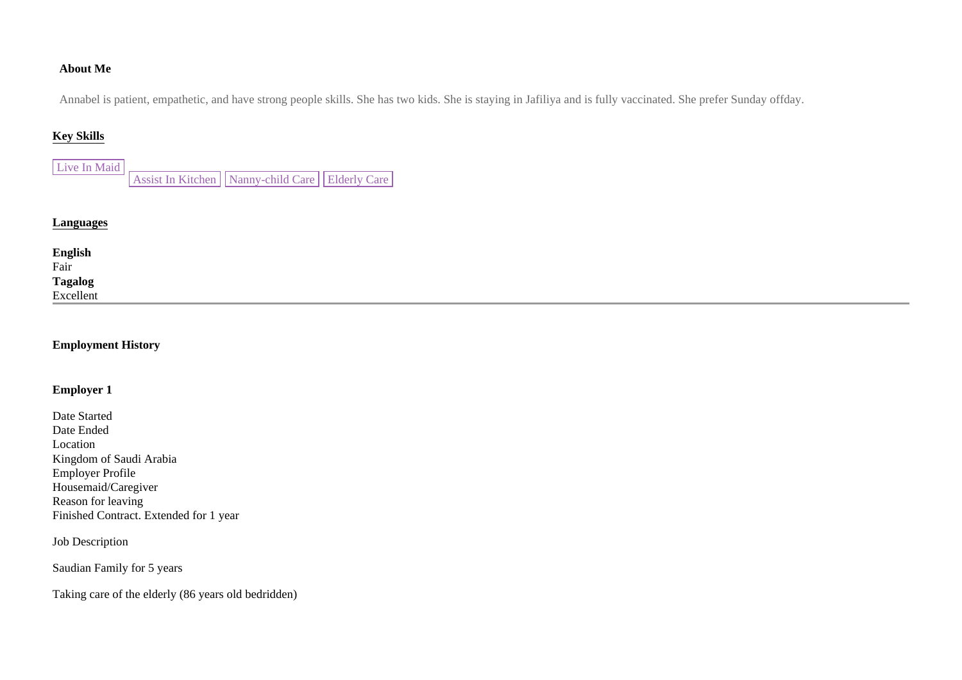#### **About Me**

Annabel is patient, empathetic, and have strong people skills. She has two kids. She is staying in Jafiliya and is fully vaccinated. She prefer Sunday offday.

## **Key Skills**

| Live In Maid |                                                         |  |
|--------------|---------------------------------------------------------|--|
|              | Assist In Kitchen     Nanny-child Care     Elderly Care |  |

## **Languages**

**English**  Fair **Tagalog**  Excellent

#### **Employment History**

#### **Employer 1**

Date Started Date Ended Location Kingdom of Saudi Arabia Employer Profile Housemaid/Caregiver Reason for leaving Finished Contract. Extended for 1 year

Job Description

Saudian Family for 5 years

Taking care of the elderly (86 years old bedridden)